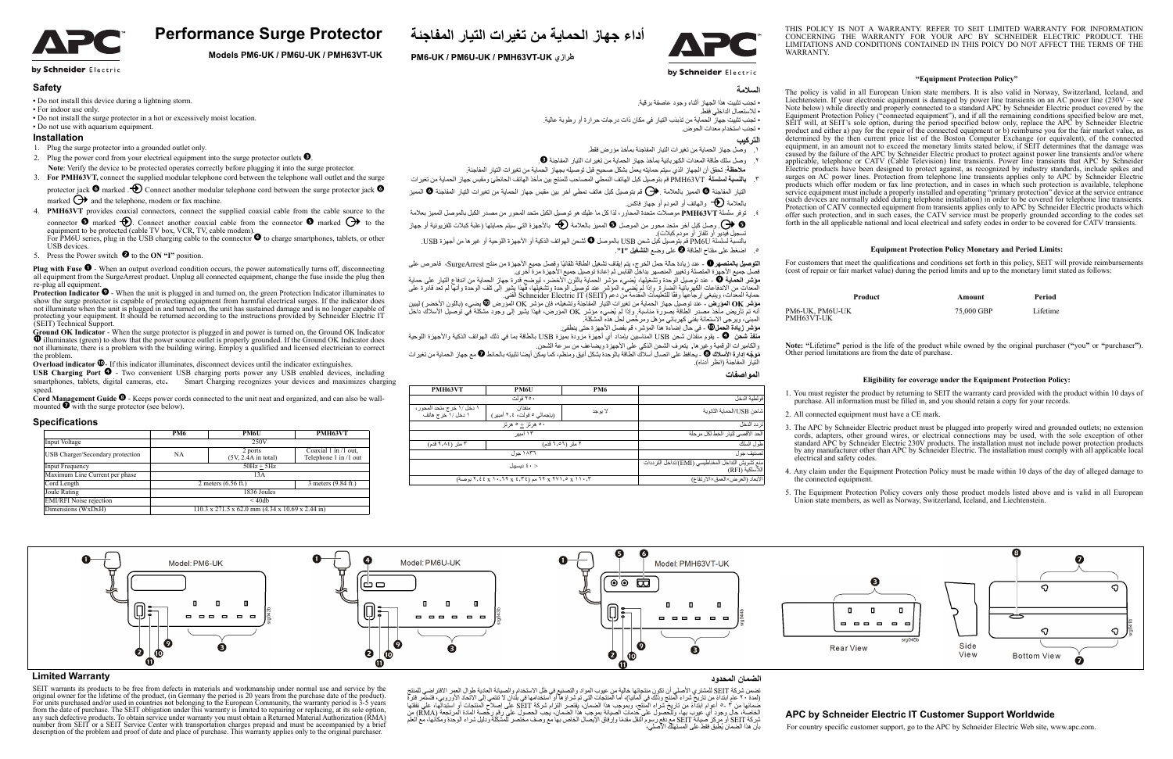



THIS POLICY IS NOT A WARRANTY. REFER TO SEIT LIMITED WARRANTY FOR INFORMATION CONCERNING THE WARRANTY FOR YOUR APC BY SCHNEIDER ELECTRIC PRODUCT. THE LIMITATIONS AND CONDITIONS CONTAINED IN THIS POICY DO NOT AFFECT THE TERMS OF THE WARR ANTV

#### by Schneider Electric

# السلامة

• تجنب تثبيت هذا الجهاز أثناء وجود عاصفة برقية.

.<br>• للاستعمال الداخلي فقط. • نجنب تثبيت جهاز ً الحماية من تذبذب التيار في مكان ذات درجات حرار ة أو ر طوبة عالية.

• تجنب استخدام معدات الحو ض.

# ا**لتر**كيب

- ١. وصل جهاز الحماية من تغيرات التيار المفاجئة بمأخذ مؤرض فقط
- ٢ وصل سلك طاقة المعدات الكهربائية بمأخذ جهاز الحماية من تغير ات التيار المفاجئة ●.
- .<br>ملاحظة: تحقق أن الجهاز الذي سيتم حمايته يعمل بشكل صحيح قبل تو صيله بجهاز الحماية من تغير ات التيار المفاجئة
- ۲. بالنسبة لسلسلة PMH63VT قم بتوصيل كبل الهاتف النمطي المصـاحب للمنتج بين مأخذ الهاتف الحائطئ ومقبس جهاز الحماية من تغيرات التبار المفاجنة ◙ المميز بالعلامة (ص) قم بتوصيل كبل هاتف نمطي أخر بين مقبس جهاز الحماية من تغيرات التيار المفاجنة ۞ المميز
	- بالعلامة �� واليهاتف أو المودم أو جهاز فاكس<sub>.</sub>
- ءً . توفر سلسلة PMH63VT موصلات متحدة المحاور ، لذا كل ما عليك هو توصيل الكبل متحد المحور من مصدر الكبل بالموصل المميز بعلامة وصل كلِل أخر متحد محور من الموصل ِ المعيز بالعلامة ﴿ بالأجهزة التي سيتم حمايتها (علبة كبلات تلفزيونية أو جهاز  $\Theta$
- تسجيل فيديو أو نافاز أو مودم كبلات) بالنسبة لسلسلة PM6U قم بتوصيل كبل شحن USB بالموصل ۞ لشحن الهواتف الذكية أو الأجهزة اللوحية أو غيرها من أجهزة USB.
	- اضغط على مفتاح الطاقة ◙ على وضع ا**لتشغيل "I"**.

**التوصيل بالمنصهر D** ـ عند زيادة حالة حمل الخرج، يتم إيقاف تشغيل الطاقة تلقائيًا رفصل جميع الأجهزة من منتج SurgeArrest، فاحرص على<br>فصل جميع الأجهزة المتصلة وتغيير المنصهر بداخل القابس ثم إعادة توصيل جميع الأجهزة مرة أخرى.

**مؤشر الحماية ◙** - عند توصيل الوحدة وتشغيلها، يُضيء مؤشر الحماية باللون الاخضر ، ليوضح قدرة جهاز الحماية من اندفاع التيار على حماية المعدات من الاندفاعات الكهربائية الضارة. وإذا لم يُضيىء المؤشر عند توصيل الوحدة وتشغيلها، فهذا يشير إلى تلف الوحدة وأنها لم تعد قادرة على<br>حماية المعدات، وينبغي إرجاعها وفقًا للتعليمات المقدمة من دعم Schneider Electric IT

**موشر OK المؤدف** - عند توصيل جهاز الحماية من تغيرات التيار المفاجنة وتشغيله، فإن مؤشر OK المورض @ يضيىء (باللون الأخضر) ليبين انه تم تاريض ماخذ مصدر الطاقة بصورة مناسبة وإذا لم يُضيىء مؤشر OK المؤرض، فهذا يشير إلى وجود مشكلة في توصيل الاسلاك داخل<br>المبنى، ويرجى الاستعانة بفني كهرباني مؤهل ومرخَّص لحل هذه المشكلة<sub>.</sub>

**مؤشّر زيّادة الحمل@** ـ في حال إضاءة هذّا المؤشّر ، قمّ بفصل الأجهزة حتى ينطفئ.

**منفذ شَعْن ۞** ـ يقوم منفّذان شَعن USB العنّاسبين بامداد أي اُجهّزة مزّودة بعيّزة USB بالطاقة بما في ذلك المهواتف الذكية والأجهزة اللوحية .<br>والكاميرات الرقمية وغيرها - يتعرف الشحن الذكي على الأجهزة ويصاعف من سرعة الشحن

**مُوجَّه إدارة الأسلاك ۞ - يحافظ على اتصال أسلاك الطاقة بالوحدة بشكل أنيق ومنظم، كما يمكن أيضًا تثبيته بالحائط <b>۞ م**ع جهاز الحماية من تغيرات التّيار المفّاجنة (انظر أدناه).

#### المواصفات

|                                                                      | <b>PM6</b>                                                  | PM6U                                  | PMH63VT                                         |
|----------------------------------------------------------------------|-------------------------------------------------------------|---------------------------------------|-------------------------------------------------|
| فو لطية الدخل                                                        |                                                             | ۲۵۰ فولت                              |                                                 |
| شاحن USB/الحماية الثانوية                                            | لا يو جد                                                    | منفذان<br>(باجمالی ۵ فولت، ۲٫٤ أمبير) | ١ دخل /١ خرج متحد المحور ،<br>۱ دخل /۱ خرج هاتف |
| تر دد الدخل                                                          |                                                             | ۰۰ هرتز + ۰ هرتز                      |                                                 |
| الحد الأقصىي لتيار الخط لكل مرحلة                                    | ۱۳ أمبير                                                    |                                       |                                                 |
| طول السلك                                                            | ۳ متر (۹٬۸٤ قدم)<br>۲ متر (۱٬۰۲ قدم)                        |                                       |                                                 |
| تصنيف جو ل                                                           | ۱۸۳٦ جول                                                    |                                       |                                                 |
| منع تشويش التداخل المغناطيسي (EMI)/تداخل الترددات<br>اللآسلكية (RFI) | < ٤٠ ديسيبل                                                 |                                       |                                                 |
| الأبعاد (العرض×العمق×الارتفاع)                                       | ۲, ۲۱۰, ۲ x ۲۷۱, ۶ x ۲۰, ۲۹ مم (۲,۴٤ x ۱۰, ۲۹ x ٤, ۳۶ بوصة) |                                       |                                                 |

- 1. Plug the surge protector into a grounded outlet only.
- 2. Plug the power cord from your electrical equipment into the surge protector outlets  $\bullet$ . **Note**: Verify the device to be protected operates correctly before plugging it into the surge protector.
- 3. **For PMH63VT,** connect the supplied modular telephone cord between the telephone wall outlet and the surge
- protector jack  $\bullet$  marked  $\bullet$  Connect another modular telephone cord between the surge protector jack  $\bullet$ marked  $\bigoplus$  and the telephone, modem or fax machine.
- 4. **PMH63VT** provides coaxial connectors, connect the supplied coaxial cable from the cable source to the
- connector  $\bullet$  marked  $\bullet$ . Connect another coaxial cable from the connector  $\bullet$  marked  $\bullet$  to the equipment to be protected (cable TV box, VCR, TV, cable modem).<br>For PM6U series, plug in the USB charging cable to the connector  $\bullet$  to charge smartphones, tablets, or other
- USB devices. 5. Press the Power switch  $\bullet$  to the **ON "I"** position.
- **Plug with Fuse**  $\bullet$  When an output overload condition occurs, the power automatically turns off, disconnecting all equipment from the SurgeArrest product. Unplug all connected equipment, change the fuse inside the plug then re-plug all equipment.
- **Protection Indicator**  $\bullet$  When the unit is plugged in and turned on, the green Protection Indicator illuminates to show the surge protector is capable of protecting equipment from harmful electrical surges. If the indicator does not illuminate when the unit is plugged in and turned on, the unit has sustained damage and is no longer capable of protecting your equipment. It should be returned according to the instructions provided by Schneider Electric IT (SEIT) Technical Support.
- **Ground OK Indicator**  When the surge protector is plugged in and power is turned on, the Ground OK Indicator  $\bullet$  illuminates (green) to show that the power source outlet is properly grounded. If the Ground OK Indicator does not illuminate, there is a problem with the building wiring. Employ a qualified and licensed electrician to correct the problem.
- **Overload indicator**  $\Phi$  If this indicator illuminates, disconnect devices until the indicator extinguishes.
- **USB Charging Port**  $\bullet$  Two convenient USB charging ports power any USB enabled devices, including smartphones, tablets, digital cameras, etc. Smart Charging recognizes your devices and maximizes charging speed.
- **Cord Management Guide <sup>©</sup>** Keeps power cords connected to the unit neat and organized, and can also be wallmounted  $\bullet$  with the surge protector (see below).

#### **"Equipment Protection Policy"**

The policy is valid in all European Union state members. It is also valid in Norway, Switzerland, Iceland, and Liechtenstein. If your electronic equipment is damaged by power line transients on an AC power line (230V – see Note below) while directly and properly connected to a standard APC by Schneider Electric product covered by the Equipment Protection Policy ("connected equipment"), and if all the remaining conditions specified below are met, SEIT will, at SEIT's sole option, during the period specified below only, replace the APC by Schneider Electric product and either a) pay for the repair of the connected equipment or b) reimburse you for the fair market value, as determined by the then current price list of the Boston Computer Exchange (or equivalent), of the connected equipment, in an amount not to exceed the monetary limits stated below, if SEIT determines that the damage was caused by the failure of the APC by Schneider Electric product to protect against power line transients and/or where applicable, telephone or CATV (Cable Television) line transients. Power line transients that APC by Schneider Electric products have been designed to protect against, as recognized by industry standards, include spikes and surges on AC power lines. Protection from telephone line transients applies only to APC by Schneider Electric products which offer modem or fax line protection, and in cases in which such protection is available, telephone service equipment must include a properly installed and operating "primary protection" device at the service entrance (such devices are normally added during telephone installation) in order to be covered for telephone line transients. Protection of CATV connected equipment from transients applies only to APC by Schneider Electric products which offer such protection, and in such cases, the CATV service must be properly grounded according to the codes set forth in the all applicable national and local electrical and safety codes in order to be covered for CATV transients.

#### **Equipment Protection Policy Monetary and Period Limits:**

For customers that meet the qualifications and conditions set forth in this policy, SEIT will provide reimbursements (cost of repair or fair market value) during the period limits and up to the monetary limit stated as follows:

| Product         | Amount     | Period   |
|-----------------|------------|----------|
| PM6-UK, PM6U-UK | 75,000 GBP | Lifetime |

PMH63VT-UK

**Note: "**Lifetime**"** period is the life of the product while owned by the original purchaser (**"**you**"** or **"**purchaser**"**). Other period limitations are from the date of purchase.

# **Eligibility for coverage under the Equipment Protection Policy:**

1. You must register the product by returning to SEIT the warranty card provided with the product within 10 days of purchase. All information must be filled in, and you should retain a copy for your records.

3. The APC by Schneider Electric product must be plugged into properly wired and grounded outlets; no extension cords, adapters, other ground wires, or electrical connections may be used, with the sole exception of other standard APC by Schneider Electric 230V products. The installation must not include power protection products by any manufacturer other than APC by Schneider Electric. The installation must comply with all applicable local

- 2. All connected equipment must have a CE mark.
- electrical and safety codes.
- the connected equipment.
- 



4. Any claim under the Equipment Protection Policy must be made within 10 days of the day of alleged damage to

5. The Equipment Protection Policy covers only those product models listed above and is valid in all European Union state members, as well as Norway, Switzerland, Iceland, and Liechtenstein.



# **Performance Surge Protector**

**Models PM6-UK / PM6U-UK / PMH63VT-UK**

by Schneider Electric

# **Safety**

- Do not install this device during a lightning storm.
- For indoor use only.
- Do not install the surge protector in a hot or excessively moist location. • Do not use with aquarium equipment.

# **Installation**

## **Specifications**

|                                  | PM6                                                                  | PM6U                                                | <b>PMH63VT</b>                                |  |
|----------------------------------|----------------------------------------------------------------------|-----------------------------------------------------|-----------------------------------------------|--|
| Input Voltage                    |                                                                      | 250V                                                |                                               |  |
| USB Charger/Secondary protection | NA                                                                   | 2 ports<br>$(5V, 2.\overline{4}A \text{ in total})$ | Coaxial 1 in /1 out,<br>Telephone 1 in /1 out |  |
| Input Frequency                  | $50Hz + 5Hz$                                                         |                                                     |                                               |  |
| Maximum Line Current per phase   | 13A                                                                  |                                                     |                                               |  |
| Cord Length                      | 2 meters $(6.56 \text{ ft.})$                                        |                                                     | 3 meters (9.84 ft.)                           |  |
| Joule Rating                     | 1836 Joules                                                          |                                                     |                                               |  |
| <b>EMI/RFI</b> Noise rejection   | $\leq 40$ db                                                         |                                                     |                                               |  |
| Dimensions (WxDxH)               | $110.3 \times 271.5 \times 62.0 \text{ mm}$ (4.34 x 10.69 x 2.44 in) |                                                     |                                               |  |

### **Limited Warranty**

المدة المستمر المستمر المستمر المستمر المستمر المستمر المستمر المستمر المستمر المستمر المستمر المستمر المستمر المستمر المستمر المستمر المستمر المستمر المستمر المستمر المستمر المستمر المستمر المستمر المستمر المستمر المستم SEIT warrants its products to be free from defects in materials and workmanship under normal use and service by the original owner for the lifetime of the product, (in Germany the period is 20 years from the purchase date of the product). For units purchased and/or used in countries not belonging to the European Community, the warranty period is 3-5 years from the date of purchase. The SEIT obligation under this warranty is limited to repairing or replacing, at its sole option, any such defective products. To obtain service under warranty you must obtain a Returned Material Authorization (RMA) number from SEIT or a SEIT Service Center with transportation charges prepaid and must be accompanied by a brief description of the problem and proof of date and place of purchase. This warranty applies only to the origina

# ا**لضمان المحدو**د

# **APC by Schneider Electric IT Customer Support Worldwide**